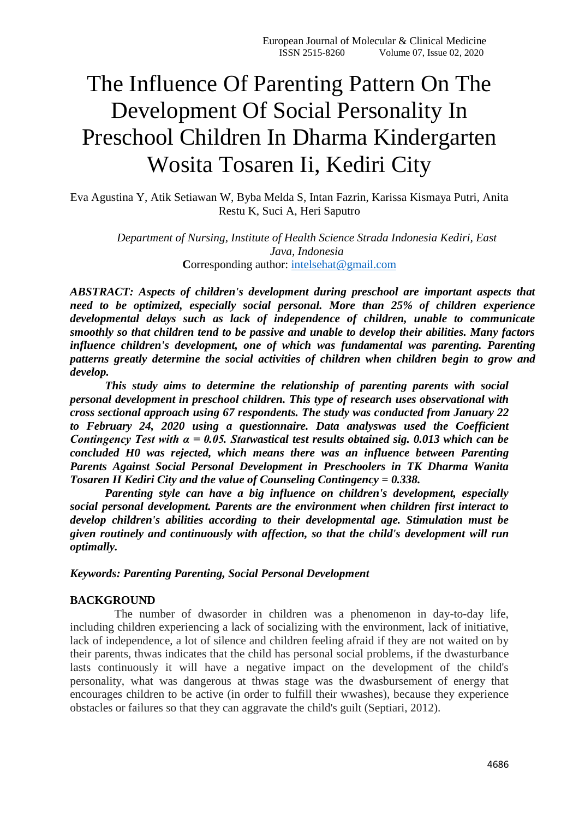# The Influence Of Parenting Pattern On The Development Of Social Personality In Preschool Children In Dharma Kindergarten Wosita Tosaren Ii, Kediri City

Eva Agustina Y, Atik Setiawan W, Byba Melda S, Intan Fazrin, Karissa Kismaya Putri, Anita Restu K, Suci A, Heri Saputro

> *Department of Nursing, Institute of Health Science Strada Indonesia Kediri, East Java, Indonesia* **Corresponding author: [intelsehat@gmail.com](mailto:intelsehat@gmail.com)**

*ABSTRACT: Aspects of children's development during preschool are important aspects that need to be optimized, especially social personal. More than 25% of children experience developmental delays such as lack of independence of children, unable to communicate smoothly so that children tend to be passive and unable to develop their abilities. Many factors influence children's development, one of which was fundamental was parenting. Parenting patterns greatly determine the social activities of children when children begin to grow and develop.*

*This study aims to determine the relationship of parenting parents with social personal development in preschool children. This type of research uses observational with cross sectional approach using 67 respondents. The study was conducted from January 22 to February 24, 2020 using a questionnaire. Data analyswas used the Coefficient Contingency Test with α = 0.05. Statwastical test results obtained sig. 0.013 which can be concluded H0 was rejected, which means there was an influence between Parenting Parents Against Social Personal Development in Preschoolers in TK Dharma Wanita Tosaren II Kediri City and the value of Counseling Contingency = 0.338.*

*Parenting style can have a big influence on children's development, especially social personal development. Parents are the environment when children first interact to develop children's abilities according to their developmental age. Stimulation must be given routinely and continuously with affection, so that the child's development will run optimally.*

*Keywords: Parenting Parenting, Social Personal Development*

#### **BACKGROUND**

The number of dwasorder in children was a phenomenon in day-to-day life, including children experiencing a lack of socializing with the environment, lack of initiative, lack of independence, a lot of silence and children feeling afraid if they are not waited on by their parents, thwas indicates that the child has personal social problems, if the dwasturbance lasts continuously it will have a negative impact on the development of the child's personality, what was dangerous at thwas stage was the dwasbursement of energy that encourages children to be active (in order to fulfill their wwashes), because they experience obstacles or failures so that they can aggravate the child's guilt (Septiari, 2012).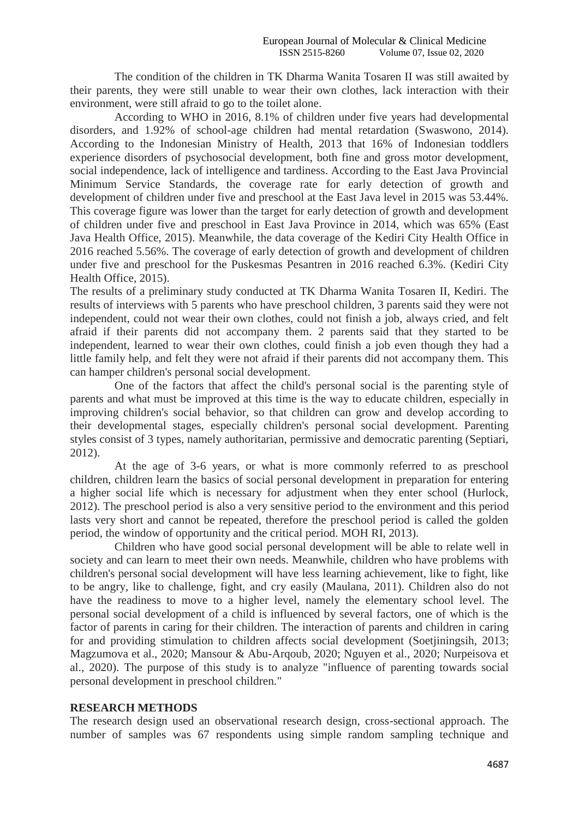The condition of the children in TK Dharma Wanita Tosaren II was still awaited by their parents, they were still unable to wear their own clothes, lack interaction with their environment, were still afraid to go to the toilet alone.

According to WHO in 2016, 8.1% of children under five years had developmental disorders, and 1.92% of school-age children had mental retardation (Swaswono, 2014). According to the Indonesian Ministry of Health, 2013 that 16% of Indonesian toddlers experience disorders of psychosocial development, both fine and gross motor development, social independence, lack of intelligence and tardiness. According to the East Java Provincial Minimum Service Standards, the coverage rate for early detection of growth and development of children under five and preschool at the East Java level in 2015 was 53.44%. This coverage figure was lower than the target for early detection of growth and development of children under five and preschool in East Java Province in 2014, which was 65% (East Java Health Office, 2015). Meanwhile, the data coverage of the Kediri City Health Office in 2016 reached 5.56%. The coverage of early detection of growth and development of children under five and preschool for the Puskesmas Pesantren in 2016 reached 6.3%. (Kediri City Health Office, 2015).

The results of a preliminary study conducted at TK Dharma Wanita Tosaren II, Kediri. The results of interviews with 5 parents who have preschool children, 3 parents said they were not independent, could not wear their own clothes, could not finish a job, always cried, and felt afraid if their parents did not accompany them. 2 parents said that they started to be independent, learned to wear their own clothes, could finish a job even though they had a little family help, and felt they were not afraid if their parents did not accompany them. This can hamper children's personal social development.

One of the factors that affect the child's personal social is the parenting style of parents and what must be improved at this time is the way to educate children, especially in improving children's social behavior, so that children can grow and develop according to their developmental stages, especially children's personal social development. Parenting styles consist of 3 types, namely authoritarian, permissive and democratic parenting (Septiari, 2012).

At the age of 3-6 years, or what is more commonly referred to as preschool children, children learn the basics of social personal development in preparation for entering a higher social life which is necessary for adjustment when they enter school (Hurlock, 2012). The preschool period is also a very sensitive period to the environment and this period lasts very short and cannot be repeated, therefore the preschool period is called the golden period, the window of opportunity and the critical period. MOH RI, 2013).

Children who have good social personal development will be able to relate well in society and can learn to meet their own needs. Meanwhile, children who have problems with children's personal social development will have less learning achievement, like to fight, like to be angry, like to challenge, fight, and cry easily (Maulana, 2011). Children also do not have the readiness to move to a higher level, namely the elementary school level. The personal social development of a child is influenced by several factors, one of which is the factor of parents in caring for their children. The interaction of parents and children in caring for and providing stimulation to children affects social development (Soetjiningsih, 2013; Magzumova et al., 2020; Mansour & Abu-Arqoub, 2020; Nguyen et al., 2020; Nurpeisova et al., 2020). The purpose of this study is to analyze "influence of parenting towards social personal development in preschool children."

#### **RESEARCH METHODS**

The research design used an observational research design, cross-sectional approach. The number of samples was 67 respondents using simple random sampling technique and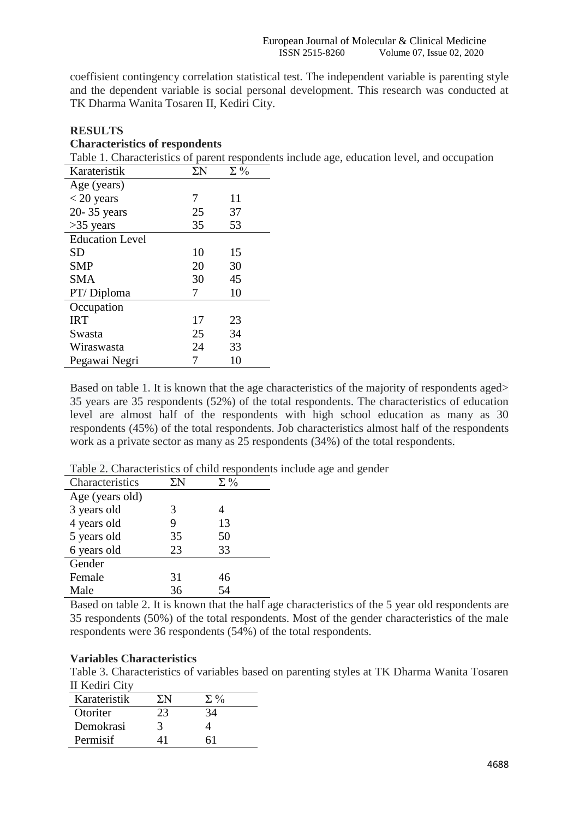coeffisient contingency correlation statistical test. The independent variable is parenting style and the dependent variable is social personal development. This research was conducted at TK Dharma Wanita Tosaren II, Kediri City.

# **RESULTS**

### **Characteristics of respondents**

Table 1. Characteristics of parent respondents include age, education level, and occupation

| Karateristik           | $\Sigma \rm{N}$ | $\Sigma\%$ |
|------------------------|-----------------|------------|
| Age (years)            |                 |            |
| $<$ 20 years           | 7               | 11         |
| 20-35 years            | 25              | 37         |
| $>35$ years            | 35              | 53         |
| <b>Education Level</b> |                 |            |
| <b>SD</b>              | 10              | 15         |
| <b>SMP</b>             | 20              | 30         |
| <b>SMA</b>             | 30              | 45         |
| PT/Diploma             | 7               | 10         |
| Occupation             |                 |            |
| <b>IRT</b>             | 17              | 23         |
| Swasta                 | 25              | 34         |
| Wiraswasta             | 24              | 33         |
| Pegawai Negri          |                 | 10         |

Based on table 1. It is known that the age characteristics of the majority of respondents aged> 35 years are 35 respondents (52%) of the total respondents. The characteristics of education level are almost half of the respondents with high school education as many as 30 respondents (45%) of the total respondents. Job characteristics almost half of the respondents work as a private sector as many as 25 respondents (34%) of the total respondents.

| Characteristics | ΣN | $\Sigma\%$ |
|-----------------|----|------------|
| Age (years old) |    |            |
| 3 years old     | 3  |            |
| 4 years old     | 9  | 13         |
| 5 years old     | 35 | 50         |
| 6 years old     | 23 | 33         |
| Gender          |    |            |
| Female          | 31 | 46         |
| Male            | 36 | 54         |

Table 2. Characteristics of child respondents include age and gender

Based on table 2. It is known that the half age characteristics of the 5 year old respondents are 35 respondents (50%) of the total respondents. Most of the gender characteristics of the male respondents were 36 respondents (54%) of the total respondents.

#### **Variables Characteristics**

Table 3. Characteristics of variables based on parenting styles at TK Dharma Wanita Tosaren II Kediri City

| Karateristik | 'N | $\Sigma_{0}$ |  |
|--------------|----|--------------|--|
| Otoriter     | 23 | 34           |  |
| Demokrasi    |    |              |  |
| Permisif     |    |              |  |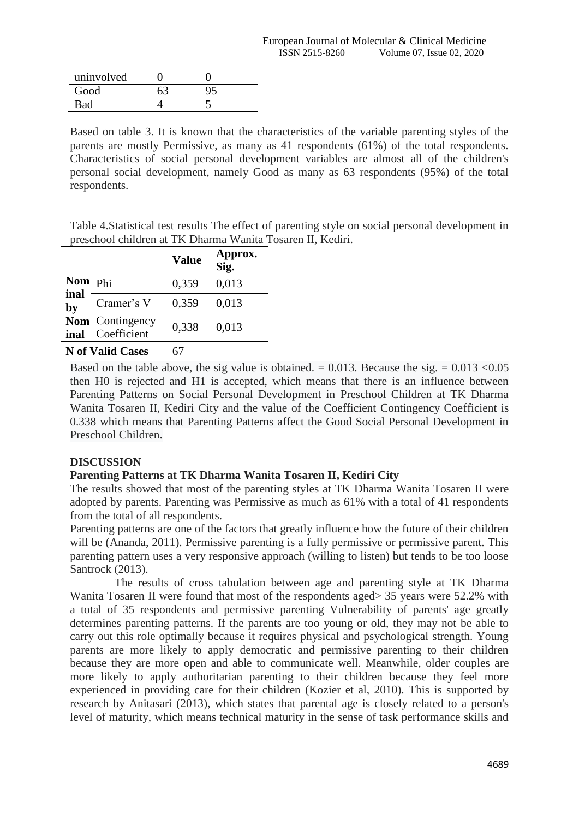| uninvolved |    |  |
|------------|----|--|
| Good       | 63 |  |
| Bad        |    |  |

Based on table 3. It is known that the characteristics of the variable parenting styles of the parents are mostly Permissive, as many as 41 respondents (61%) of the total respondents. Characteristics of social personal development variables are almost all of the children's personal social development, namely Good as many as 63 respondents (95%) of the total respondents.

Table 4.Statistical test results The effect of parenting style on social personal development in preschool children at TK Dharma Wanita Tosaren II, Kediri.

|            |                                | <b>Value</b> | Approx.<br>Sig. |
|------------|--------------------------------|--------------|-----------------|
| Nom Phi    |                                | 0,359        | 0,013           |
| inal<br>by | Cramer's V                     | 0,359        | 0,013           |
| inal       | Nom Contingency<br>Coefficient | 0,338        | 0,013           |
|            | <b>N</b> of Valid Cases        |              |                 |

Based on the table above, the sig value is obtained.  $= 0.013$ . Because the sig.  $= 0.013$  < 0.05 then H0 is rejected and H1 is accepted, which means that there is an influence between Parenting Patterns on Social Personal Development in Preschool Children at TK Dharma Wanita Tosaren II, Kediri City and the value of the Coefficient Contingency Coefficient is 0.338 which means that Parenting Patterns affect the Good Social Personal Development in Preschool Children.

# **DISCUSSION**

### **Parenting Patterns at TK Dharma Wanita Tosaren II, Kediri City**

The results showed that most of the parenting styles at TK Dharma Wanita Tosaren II were adopted by parents. Parenting was Permissive as much as 61% with a total of 41 respondents from the total of all respondents.

Parenting patterns are one of the factors that greatly influence how the future of their children will be (Ananda, 2011). Permissive parenting is a fully permissive or permissive parent. This parenting pattern uses a very responsive approach (willing to listen) but tends to be too loose Santrock (2013).

The results of cross tabulation between age and parenting style at TK Dharma Wanita Tosaren II were found that most of the respondents aged> 35 years were 52.2% with a total of 35 respondents and permissive parenting Vulnerability of parents' age greatly determines parenting patterns. If the parents are too young or old, they may not be able to carry out this role optimally because it requires physical and psychological strength. Young parents are more likely to apply democratic and permissive parenting to their children because they are more open and able to communicate well. Meanwhile, older couples are more likely to apply authoritarian parenting to their children because they feel more experienced in providing care for their children (Kozier et al, 2010). This is supported by research by Anitasari (2013), which states that parental age is closely related to a person's level of maturity, which means technical maturity in the sense of task performance skills and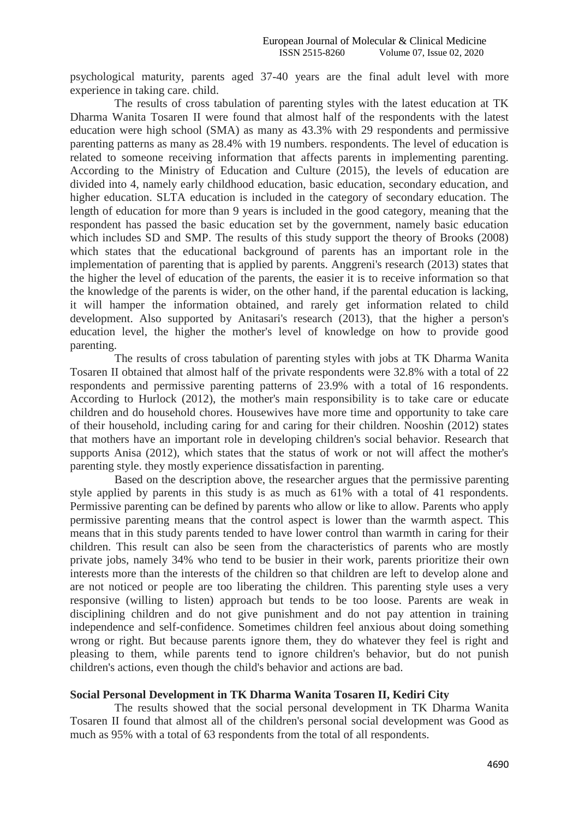psychological maturity, parents aged 37-40 years are the final adult level with more experience in taking care. child.

The results of cross tabulation of parenting styles with the latest education at TK Dharma Wanita Tosaren II were found that almost half of the respondents with the latest education were high school (SMA) as many as 43.3% with 29 respondents and permissive parenting patterns as many as 28.4% with 19 numbers. respondents. The level of education is related to someone receiving information that affects parents in implementing parenting. According to the Ministry of Education and Culture (2015), the levels of education are divided into 4, namely early childhood education, basic education, secondary education, and higher education. SLTA education is included in the category of secondary education. The length of education for more than 9 years is included in the good category, meaning that the respondent has passed the basic education set by the government, namely basic education which includes SD and SMP. The results of this study support the theory of Brooks (2008) which states that the educational background of parents has an important role in the implementation of parenting that is applied by parents. Anggreni's research (2013) states that the higher the level of education of the parents, the easier it is to receive information so that the knowledge of the parents is wider, on the other hand, if the parental education is lacking, it will hamper the information obtained, and rarely get information related to child development. Also supported by Anitasari's research (2013), that the higher a person's education level, the higher the mother's level of knowledge on how to provide good parenting.

The results of cross tabulation of parenting styles with jobs at TK Dharma Wanita Tosaren II obtained that almost half of the private respondents were 32.8% with a total of 22 respondents and permissive parenting patterns of 23.9% with a total of 16 respondents. According to Hurlock (2012), the mother's main responsibility is to take care or educate children and do household chores. Housewives have more time and opportunity to take care of their household, including caring for and caring for their children. Nooshin (2012) states that mothers have an important role in developing children's social behavior. Research that supports Anisa (2012), which states that the status of work or not will affect the mother's parenting style. they mostly experience dissatisfaction in parenting.

Based on the description above, the researcher argues that the permissive parenting style applied by parents in this study is as much as 61% with a total of 41 respondents. Permissive parenting can be defined by parents who allow or like to allow. Parents who apply permissive parenting means that the control aspect is lower than the warmth aspect. This means that in this study parents tended to have lower control than warmth in caring for their children. This result can also be seen from the characteristics of parents who are mostly private jobs, namely 34% who tend to be busier in their work, parents prioritize their own interests more than the interests of the children so that children are left to develop alone and are not noticed or people are too liberating the children. This parenting style uses a very responsive (willing to listen) approach but tends to be too loose. Parents are weak in disciplining children and do not give punishment and do not pay attention in training independence and self-confidence. Sometimes children feel anxious about doing something wrong or right. But because parents ignore them, they do whatever they feel is right and pleasing to them, while parents tend to ignore children's behavior, but do not punish children's actions, even though the child's behavior and actions are bad.

#### **Social Personal Development in TK Dharma Wanita Tosaren II, Kediri City**

The results showed that the social personal development in TK Dharma Wanita Tosaren II found that almost all of the children's personal social development was Good as much as 95% with a total of 63 respondents from the total of all respondents.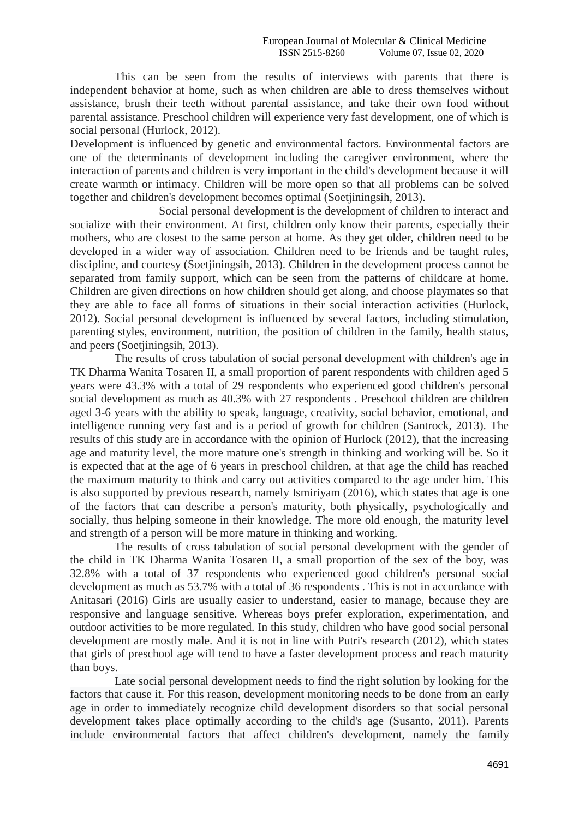This can be seen from the results of interviews with parents that there is independent behavior at home, such as when children are able to dress themselves without assistance, brush their teeth without parental assistance, and take their own food without parental assistance. Preschool children will experience very fast development, one of which is social personal (Hurlock, 2012).

Development is influenced by genetic and environmental factors. Environmental factors are one of the determinants of development including the caregiver environment, where the interaction of parents and children is very important in the child's development because it will create warmth or intimacy. Children will be more open so that all problems can be solved together and children's development becomes optimal (Soetjiningsih, 2013).

Social personal development is the development of children to interact and socialize with their environment. At first, children only know their parents, especially their mothers, who are closest to the same person at home. As they get older, children need to be developed in a wider way of association. Children need to be friends and be taught rules, discipline, and courtesy (Soetjiningsih, 2013). Children in the development process cannot be separated from family support, which can be seen from the patterns of childcare at home. Children are given directions on how children should get along, and choose playmates so that they are able to face all forms of situations in their social interaction activities (Hurlock, 2012). Social personal development is influenced by several factors, including stimulation, parenting styles, environment, nutrition, the position of children in the family, health status, and peers (Soetjiningsih, 2013).

The results of cross tabulation of social personal development with children's age in TK Dharma Wanita Tosaren II, a small proportion of parent respondents with children aged 5 years were 43.3% with a total of 29 respondents who experienced good children's personal social development as much as 40.3% with 27 respondents . Preschool children are children aged 3-6 years with the ability to speak, language, creativity, social behavior, emotional, and intelligence running very fast and is a period of growth for children (Santrock, 2013). The results of this study are in accordance with the opinion of Hurlock (2012), that the increasing age and maturity level, the more mature one's strength in thinking and working will be. So it is expected that at the age of 6 years in preschool children, at that age the child has reached the maximum maturity to think and carry out activities compared to the age under him. This is also supported by previous research, namely Ismiriyam (2016), which states that age is one of the factors that can describe a person's maturity, both physically, psychologically and socially, thus helping someone in their knowledge. The more old enough, the maturity level and strength of a person will be more mature in thinking and working.

The results of cross tabulation of social personal development with the gender of the child in TK Dharma Wanita Tosaren II, a small proportion of the sex of the boy, was 32.8% with a total of 37 respondents who experienced good children's personal social development as much as 53.7% with a total of 36 respondents . This is not in accordance with Anitasari (2016) Girls are usually easier to understand, easier to manage, because they are responsive and language sensitive. Whereas boys prefer exploration, experimentation, and outdoor activities to be more regulated. In this study, children who have good social personal development are mostly male. And it is not in line with Putri's research (2012), which states that girls of preschool age will tend to have a faster development process and reach maturity than boys.

Late social personal development needs to find the right solution by looking for the factors that cause it. For this reason, development monitoring needs to be done from an early age in order to immediately recognize child development disorders so that social personal development takes place optimally according to the child's age (Susanto, 2011). Parents include environmental factors that affect children's development, namely the family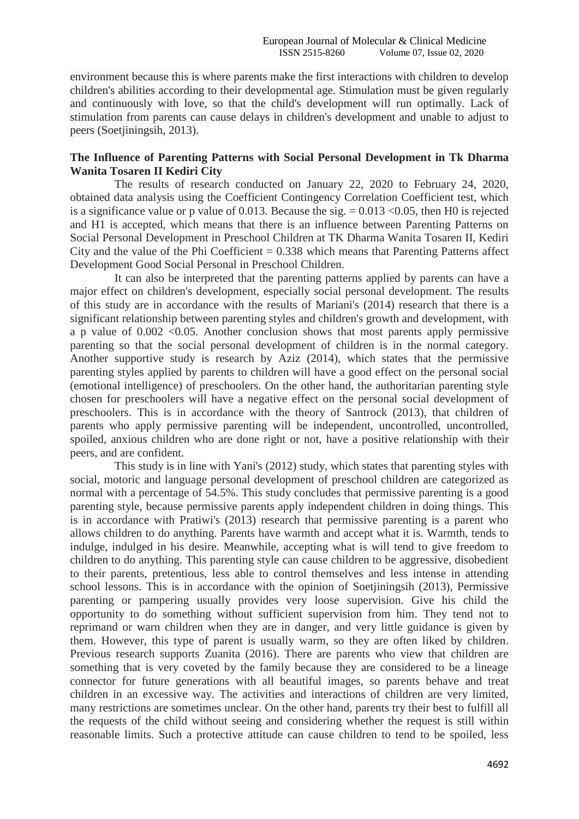environment because this is where parents make the first interactions with children to develop children's abilities according to their developmental age. Stimulation must be given regularly and continuously with love, so that the child's development will run optimally. Lack of stimulation from parents can cause delays in children's development and unable to adjust to peers (Soetjiningsih, 2013).

### **The Influence of Parenting Patterns with Social Personal Development in Tk Dharma Wanita Tosaren II Kediri City**

The results of research conducted on January 22, 2020 to February 24, 2020, obtained data analysis using the Coefficient Contingency Correlation Coefficient test, which is a significance value or p value of 0.013. Because the sig.  $= 0.013 \le 0.05$ , then H0 is rejected and H1 is accepted, which means that there is an influence between Parenting Patterns on Social Personal Development in Preschool Children at TK Dharma Wanita Tosaren II, Kediri City and the value of the Phi Coefficient  $= 0.338$  which means that Parenting Patterns affect Development Good Social Personal in Preschool Children.

It can also be interpreted that the parenting patterns applied by parents can have a major effect on children's development, especially social personal development. The results of this study are in accordance with the results of Mariani's (2014) research that there is a significant relationship between parenting styles and children's growth and development, with a p value of  $0.002$  <0.05. Another conclusion shows that most parents apply permissive parenting so that the social personal development of children is in the normal category. Another supportive study is research by Aziz (2014), which states that the permissive parenting styles applied by parents to children will have a good effect on the personal social (emotional intelligence) of preschoolers. On the other hand, the authoritarian parenting style chosen for preschoolers will have a negative effect on the personal social development of preschoolers. This is in accordance with the theory of Santrock (2013), that children of parents who apply permissive parenting will be independent, uncontrolled, uncontrolled, spoiled, anxious children who are done right or not, have a positive relationship with their peers, and are confident.

This study is in line with Yani's (2012) study, which states that parenting styles with social, motoric and language personal development of preschool children are categorized as normal with a percentage of 54.5%. This study concludes that permissive parenting is a good parenting style, because permissive parents apply independent children in doing things. This is in accordance with Pratiwi's (2013) research that permissive parenting is a parent who allows children to do anything. Parents have warmth and accept what it is. Warmth, tends to indulge, indulged in his desire. Meanwhile, accepting what is will tend to give freedom to children to do anything. This parenting style can cause children to be aggressive, disobedient to their parents, pretentious, less able to control themselves and less intense in attending school lessons. This is in accordance with the opinion of Soetjiningsih (2013), Permissive parenting or pampering usually provides very loose supervision. Give his child the opportunity to do something without sufficient supervision from him. They tend not to reprimand or warn children when they are in danger, and very little guidance is given by them. However, this type of parent is usually warm, so they are often liked by children. Previous research supports Zuanita (2016). There are parents who view that children are something that is very coveted by the family because they are considered to be a lineage connector for future generations with all beautiful images, so parents behave and treat children in an excessive way. The activities and interactions of children are very limited, many restrictions are sometimes unclear. On the other hand, parents try their best to fulfill all the requests of the child without seeing and considering whether the request is still within reasonable limits. Such a protective attitude can cause children to tend to be spoiled, less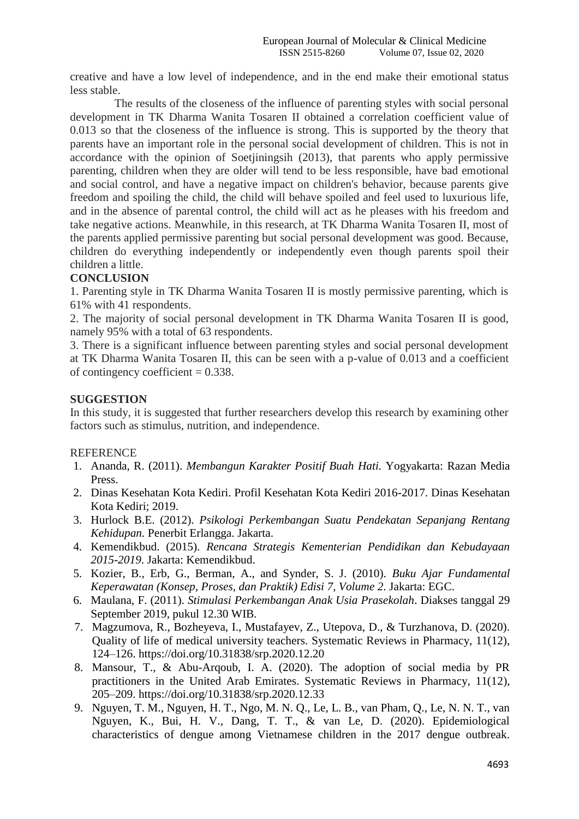creative and have a low level of independence, and in the end make their emotional status less stable.

The results of the closeness of the influence of parenting styles with social personal development in TK Dharma Wanita Tosaren II obtained a correlation coefficient value of 0.013 so that the closeness of the influence is strong. This is supported by the theory that parents have an important role in the personal social development of children. This is not in accordance with the opinion of Soetjiningsih (2013), that parents who apply permissive parenting, children when they are older will tend to be less responsible, have bad emotional and social control, and have a negative impact on children's behavior, because parents give freedom and spoiling the child, the child will behave spoiled and feel used to luxurious life, and in the absence of parental control, the child will act as he pleases with his freedom and take negative actions. Meanwhile, in this research, at TK Dharma Wanita Tosaren II, most of the parents applied permissive parenting but social personal development was good. Because, children do everything independently or independently even though parents spoil their children a little.

# **CONCLUSION**

1. Parenting style in TK Dharma Wanita Tosaren II is mostly permissive parenting, which is 61% with 41 respondents.

2. The majority of social personal development in TK Dharma Wanita Tosaren II is good, namely 95% with a total of 63 respondents.

3. There is a significant influence between parenting styles and social personal development at TK Dharma Wanita Tosaren II, this can be seen with a p-value of 0.013 and a coefficient of contingency coefficient  $= 0.338$ .

# **SUGGESTION**

In this study, it is suggested that further researchers develop this research by examining other factors such as stimulus, nutrition, and independence.

#### **REFERENCE**

- 1. Ananda, R. (2011). *Membangun Karakter Positif Buah Hati.* Yogyakarta: Razan Media Press.
- 2. Dinas Kesehatan Kota Kediri. Profil Kesehatan Kota Kediri 2016-2017. Dinas Kesehatan Kota Kediri; 2019.
- 3. Hurlock B.E. (2012). *Psikologi Perkembangan Suatu Pendekatan Sepanjang Rentang Kehidupan.* Penerbit Erlangga. Jakarta.
- 4. Kemendikbud. (2015). *Rencana Strategis Kementerian Pendidikan dan Kebudayaan 2015-2019*. Jakarta: Kemendikbud.
- 5. Kozier, B., Erb, G., Berman, A., and Synder, S. J. (2010). *Buku Ajar Fundamental Keperawatan (Konsep, Proses, dan Praktik) Edisi 7, Volume 2*. Jakarta: EGC.
- 6. Maulana, F. (2011). *Stimulasi Perkembangan Anak Usia Prasekolah*. Diakses tanggal 29 September 2019, pukul 12.30 WIB.
- 7. Magzumova, R., Bozheyeva, I., Mustafayev, Z., Utepova, D., & Turzhanova, D. (2020). Quality of life of medical university teachers. Systematic Reviews in Pharmacy, 11(12), 124–126. https://doi.org/10.31838/srp.2020.12.20
- 8. Mansour, T., & Abu-Arqoub, I. A. (2020). The adoption of social media by PR practitioners in the United Arab Emirates. Systematic Reviews in Pharmacy, 11(12), 205–209. https://doi.org/10.31838/srp.2020.12.33
- 9. Nguyen, T. M., Nguyen, H. T., Ngo, M. N. Q., Le, L. B., van Pham, Q., Le, N. N. T., van Nguyen, K., Bui, H. V., Dang, T. T., & van Le, D. (2020). Epidemiological characteristics of dengue among Vietnamese children in the 2017 dengue outbreak.